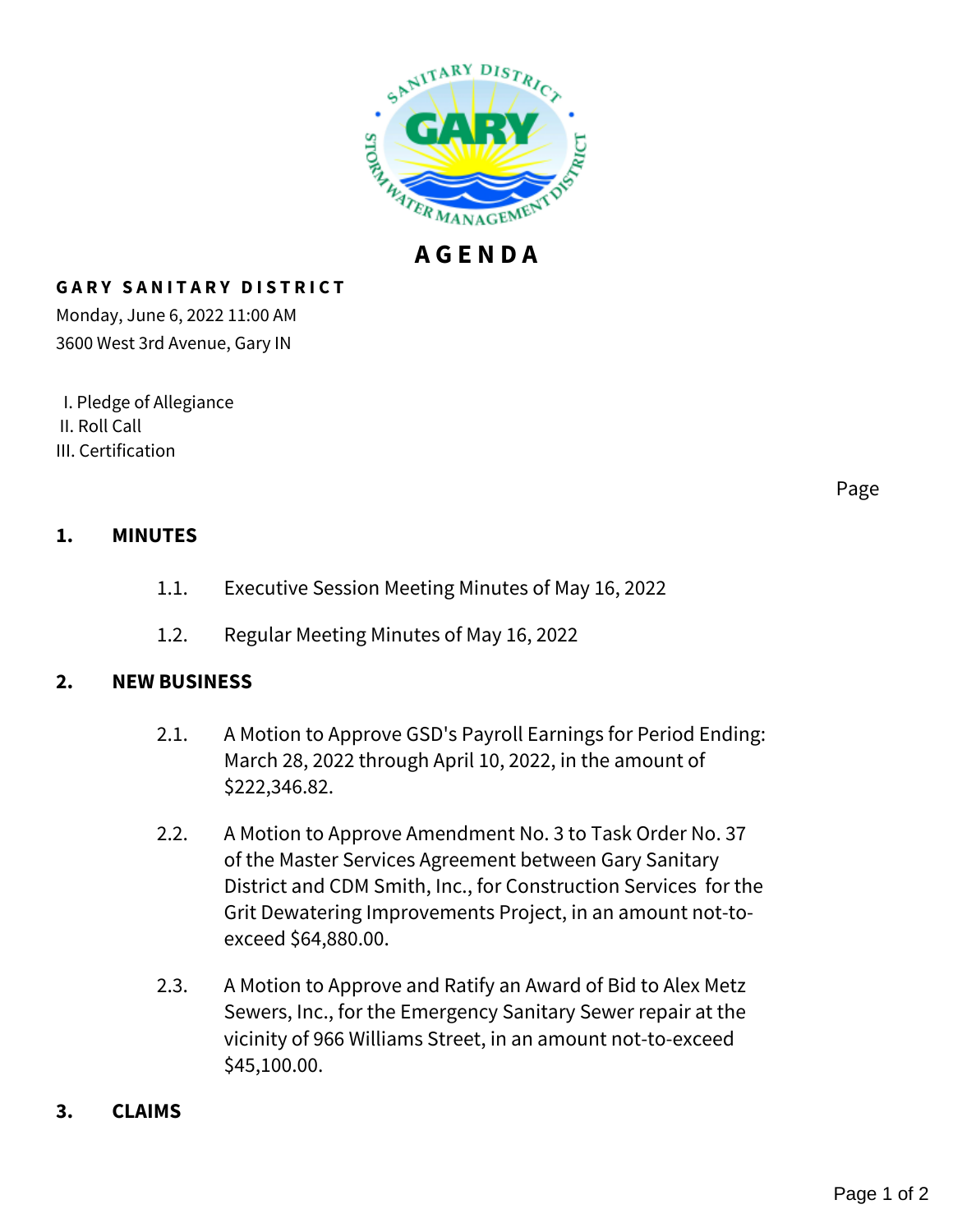

## **G A R Y S A N I T A R Y D I S T R I C T**

Monday, June 6, 2022 11:00 AM 3600 West 3rd Avenue, Gary IN

 I. Pledge of Allegiance II. Roll Call III. Certification

Page

## **1. MINUTES**

- 1.1. Executive Session Meeting Minutes of May 16, 2022
- 1.2. Regular Meeting Minutes of May 16, 2022

## **2. NEW BUSINESS**

- 2.1. A Motion to Approve GSD's Payroll Earnings for Period Ending: March 28, 2022 through April 10, 2022, in the amount of \$222,346.82.
- 2.2. A Motion to Approve Amendment No. 3 to Task Order No. 37 of the Master Services Agreement between Gary Sanitary District and CDM Smith, Inc., for Construction Services for the Grit Dewatering Improvements Project, in an amount not-toexceed \$64,880.00.
- 2.3. A Motion to Approve and Ratify an Award of Bid to Alex Metz Sewers, Inc., for the Emergency Sanitary Sewer repair at the vicinity of 966 Williams Street, in an amount not-to-exceed \$45,100.00.
- **3. CLAIMS**